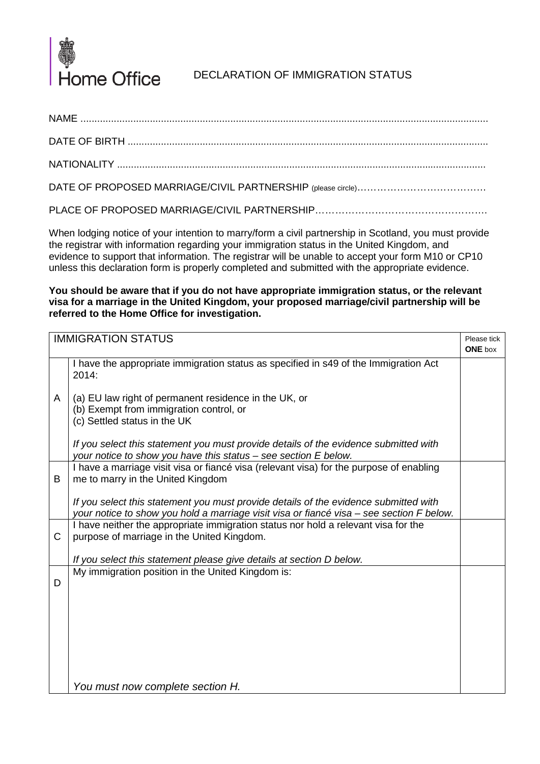

## DECLARATION OF IMMIGRATION STATUS

NAME ...................................................................................................................................................

DATE OF BIRTH ..................................................................................................................................

NATIONALITY .....................................................................................................................................

DATE OF PROPOSED MARRIAGE/CIVIL PARTNERSHIP (please circle)……………………………………

PLACE OF PROPOSED MARRIAGE/CIVIL PARTNERSHIP……………………………………………………

When lodging notice of your intention to marry/form a civil partnership in Scotland, you must provide the registrar with information regarding your immigration status in the United Kingdom, and evidence to support that information. The registrar will be unable to accept your form M10 or CP10 unless this declaration form is properly completed and submitted with the appropriate evidence.

**You should be aware that if you do not have appropriate immigration status, or the relevant visa for a marriage in the United Kingdom, your proposed marriage/civil partnership will be referred to the Home Office for investigation.**

| <b>IMMIGRATION STATUS</b> |                                                                                                                                                                                  |  |
|---------------------------|----------------------------------------------------------------------------------------------------------------------------------------------------------------------------------|--|
|                           | I have the appropriate immigration status as specified in s49 of the Immigration Act<br>2014:                                                                                    |  |
| A                         | (a) EU law right of permanent residence in the UK, or<br>(b) Exempt from immigration control, or<br>(c) Settled status in the UK                                                 |  |
|                           | If you select this statement you must provide details of the evidence submitted with<br>your notice to show you have this status - see section E below.                          |  |
| B                         | I have a marriage visit visa or fiancé visa (relevant visa) for the purpose of enabling<br>me to marry in the United Kingdom                                                     |  |
|                           | If you select this statement you must provide details of the evidence submitted with<br>your notice to show you hold a marriage visit visa or fiancé visa - see section F below. |  |
| C                         | I have neither the appropriate immigration status nor hold a relevant visa for the<br>purpose of marriage in the United Kingdom.                                                 |  |
|                           | If you select this statement please give details at section D below.                                                                                                             |  |
| D                         | My immigration position in the United Kingdom is:                                                                                                                                |  |
|                           |                                                                                                                                                                                  |  |
|                           |                                                                                                                                                                                  |  |
|                           |                                                                                                                                                                                  |  |
|                           | You must now complete section H.                                                                                                                                                 |  |